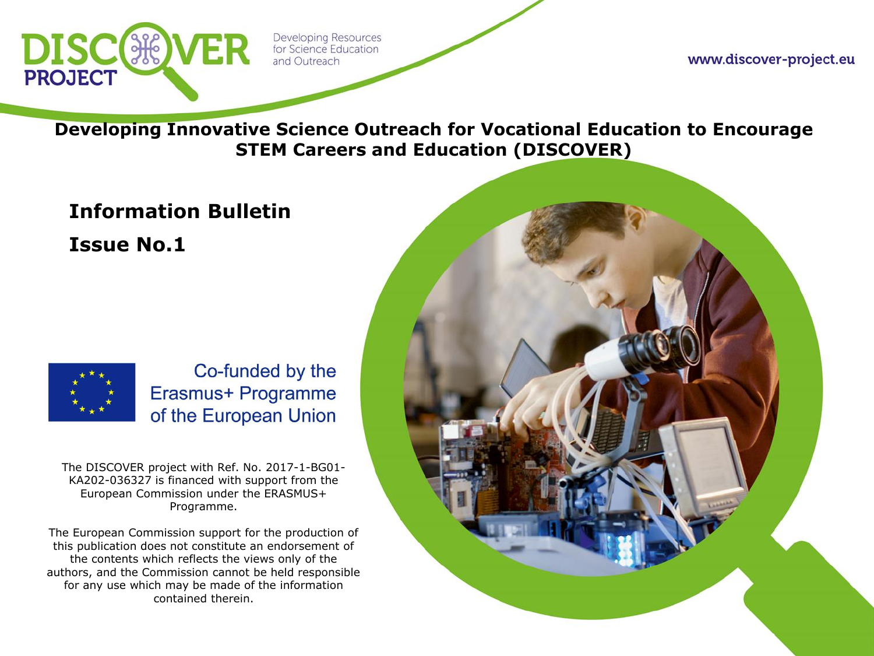

www.discover-project.eu

**Developing Innovative Science Outreach for Vocational Education to Encourage STEM Careers and Education (DISCOVER)**

# **Information Bulletin Issue No.1**



Co-funded by the Erasmus+ Programme of the European Union

The DISCOVER project with Ref. No. 2017-1-BG01- KA202-036327 is financed with support from the European Commission under the ERASMUS+ Programme.

The European Commission support for the production of this publication does not constitute an endorsement of the contents which reflects the views only of the authors, and the Commission cannot be held responsible for any use which may be made of the information contained therein.

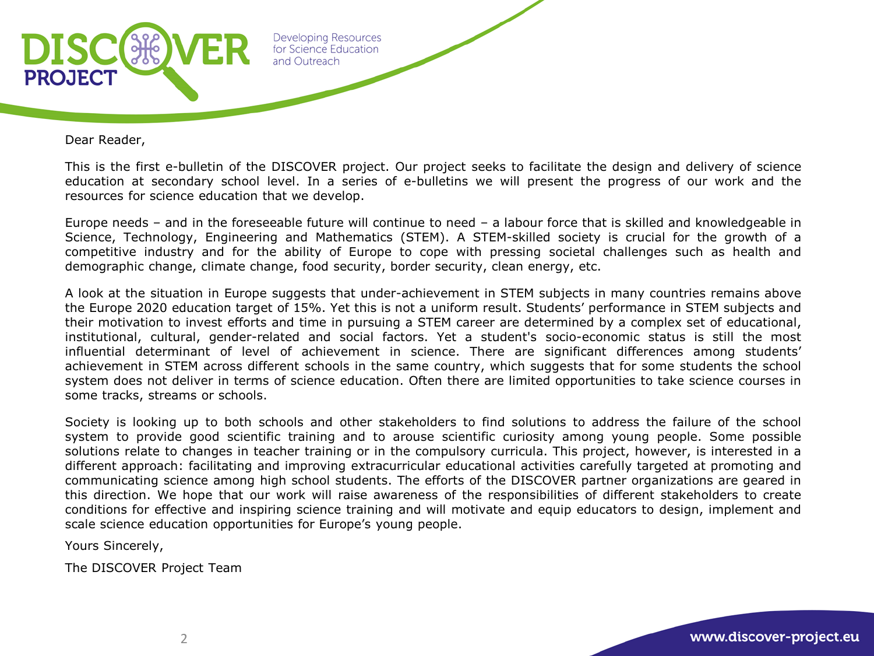

Dear Reader,

This is the first e-bulletin of the DISCOVER project. Our project seeks to facilitate the design and delivery of science education at secondary school level. In a series of e-bulletins we will present the progress of our work and the resources for science education that we develop.

Europe needs – and in the foreseeable future will continue to need – a labour force that is skilled and knowledgeable in Science, Technology, Engineering and Mathematics (STEM). A STEM-skilled society is crucial for the growth of a competitive industry and for the ability of Europe to cope with pressing societal challenges such as health and demographic change, climate change, food security, border security, clean energy, etc.

A look at the situation in Europe suggests that under-achievement in STEM subjects in many countries remains above the Europe 2020 education target of 15%. Yet this is not a uniform result. Students' performance in STEM subjects and their motivation to invest efforts and time in pursuing a STEM career are determined by a complex set of educational, institutional, cultural, gender-related and social factors. Yet a student's socio-economic status is still the most influential determinant of level of achievement in science. There are significant differences among students' achievement in STEM across different schools in the same country, which suggests that for some students the school system does not deliver in terms of science education. Often there are limited opportunities to take science courses in some tracks, streams or schools.

Society is looking up to both schools and other stakeholders to find solutions to address the failure of the school system to provide good scientific training and to arouse scientific curiosity among young people. Some possible solutions relate to changes in teacher training or in the compulsory curricula. This project, however, is interested in a different approach: facilitating and improving extracurricular educational activities carefully targeted at promoting and communicating science among high school students. The efforts of the DISCOVER partner organizations are geared in this direction. We hope that our work will raise awareness of the responsibilities of different stakeholders to create conditions for effective and inspiring science training and will motivate and equip educators to design, implement and scale science education opportunities for Europe's young people.

Yours Sincerely,

The DISCOVER Project Team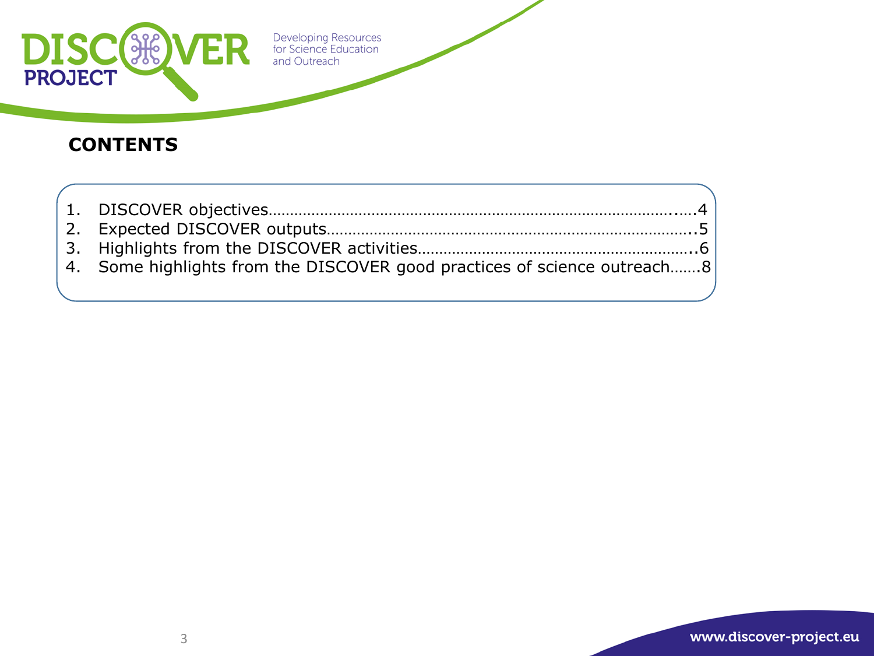

### **CONTENTS**

| 4. Some highlights from the DISCOVER good practices of science outreach8 |  |
|--------------------------------------------------------------------------|--|
|                                                                          |  |

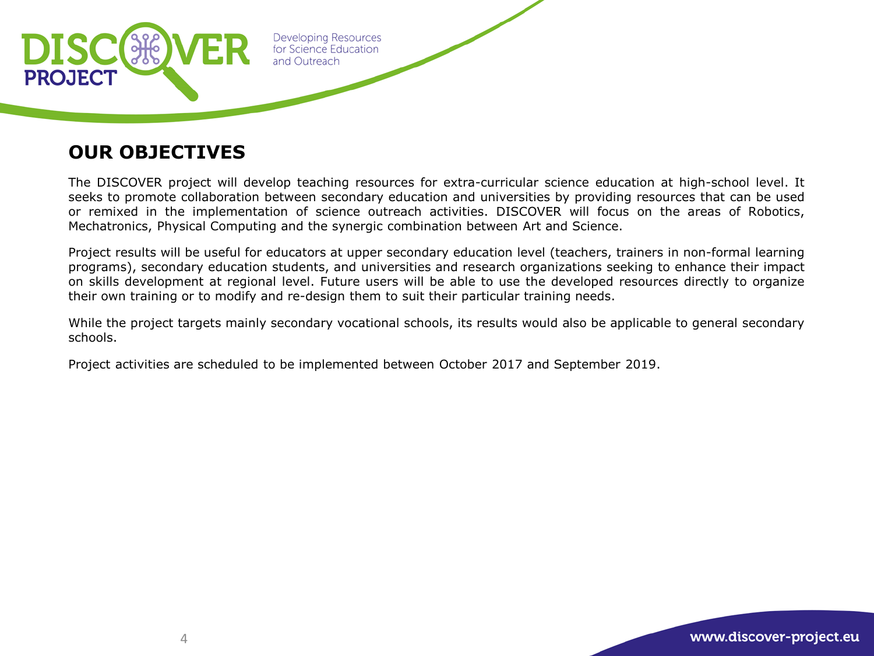

### **OUR OBJECTIVES**

The DISCOVER project will develop teaching resources for extra-curricular science education at high-school level. It seeks to promote collaboration between secondary education and universities by providing resources that can be used or remixed in the implementation of science outreach activities. DISCOVER will focus on the areas of Robotics, Mechatronics, Physical Computing and the synergic combination between Art and Science.

Project results will be useful for educators at upper secondary education level (teachers, trainers in non-formal learning programs), secondary education students, and universities and research organizations seeking to enhance their impact on skills development at regional level. Future users will be able to use the developed resources directly to organize their own training or to modify and re-design them to suit their particular training needs.

While the project targets mainly secondary vocational schools, its results would also be applicable to general secondary schools.

Project activities are scheduled to be implemented between October 2017 and September 2019.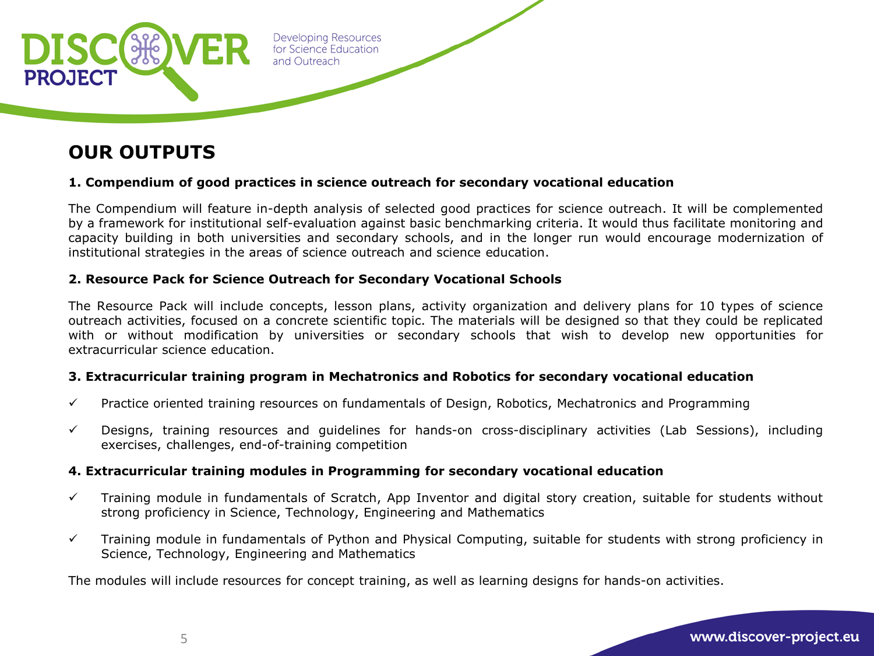

### **OUR OUTPUTS**

### **1. Compendium of good practices in science outreach for secondary vocational education**

The Compendium will feature in-depth analysis of selected good practices for science outreach. It will be complemented by a framework for institutional self-evaluation against basic benchmarking criteria. It would thus facilitate monitoring and capacity building in both universities and secondary schools, and in the longer run would encourage modernization of institutional strategies in the areas of science outreach and science education.

### **2. Resource Pack for Science Outreach for Secondary Vocational Schools**

The Resource Pack will include concepts, lesson plans, activity organization and delivery plans for 10 types of science outreach activities, focused on a concrete scientific topic. The materials will be designed so that they could be replicated with or without modification by universities or secondary schools that wish to develop new opportunities for extracurricular science education.

### **3. Extracurricular training program in Mechatronics and Robotics for secondary vocational education**

- $\checkmark$  Practice oriented training resources on fundamentals of Design, Robotics, Mechatronics and Programming
- $\checkmark$  Designs, training resources and guidelines for hands-on cross-disciplinary activities (Lab Sessions), including exercises, challenges, end-of-training competition

### **4. Extracurricular training modules in Programming for secondary vocational education**

- $\checkmark$  Training module in fundamentals of Scratch, App Inventor and digital story creation, suitable for students without strong proficiency in Science, Technology, Engineering and Mathematics
- $\checkmark$  Training module in fundamentals of Python and Physical Computing, suitable for students with strong proficiency in Science, Technology, Engineering and Mathematics

The modules will include resources for concept training, as well as learning designs for hands-on activities.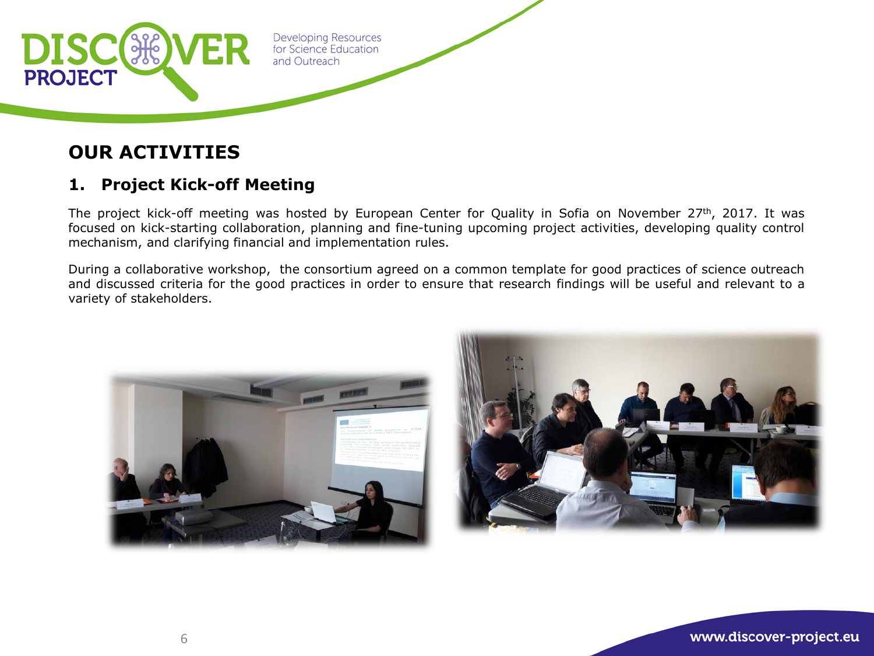

### **OUR ACTIVITIES**

### **1. Project Kick-off Meeting**

The project kick-off meeting was hosted by European Center for Quality in Sofia on November 27th, 2017. It was focused on kick-starting collaboration, planning and fine-tuning upcoming project activities, developing quality control mechanism, and clarifying financial and implementation rules.

During a collaborative workshop, the consortium agreed on a common template for good practices of science outreach and discussed criteria for the good practices in order to ensure that research findings will be useful and relevant to a variety of stakeholders.



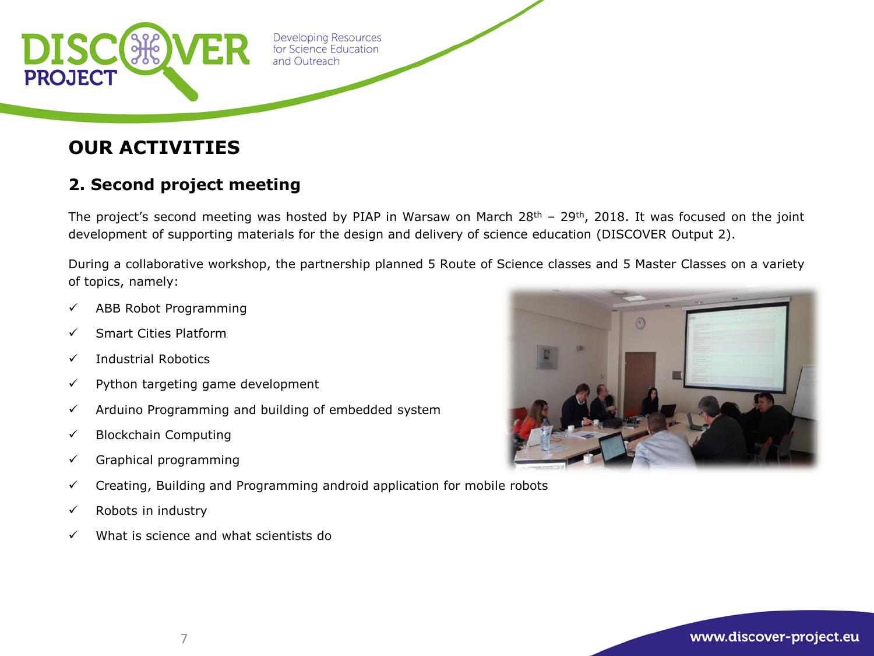

### **OUR ACTIVITIES**

### **2. Second project meeting**

The project's second meeting was hosted by PIAP in Warsaw on March  $28<sup>th</sup> - 29<sup>th</sup>$ , 2018. It was focused on the joint development of supporting materials for the design and delivery of science education (DISCOVER Output 2).

During a collaborative workshop, the partnership planned 5 Route of Science classes and 5 Master Classes on a variety of topics, namely:

- $\checkmark$  ABB Robot Programming
- $\checkmark$  Smart Cities Platform
- $\checkmark$  Industrial Robotics
- $\checkmark$  Python targeting game development
- $\checkmark$  Arduino Programming and building of embedded system
- $\checkmark$  Blockchain Computing
- $\checkmark$  Graphical programming
- $\checkmark$  Creating, Building and Programming android application for mobile robots
- $\checkmark$  Robots in industry
- $\checkmark$  What is science and what scientists do



7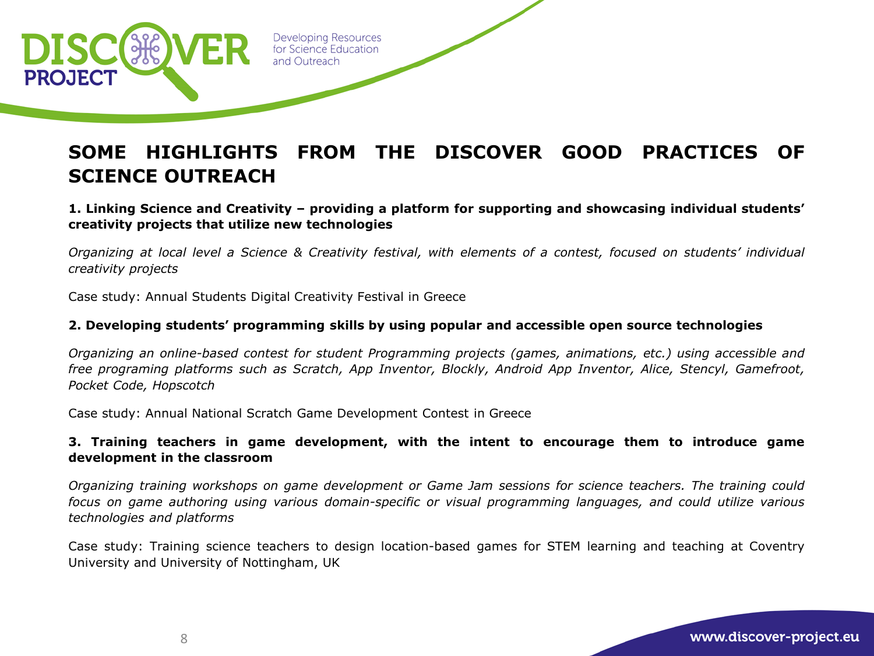

# **SOME HIGHLIGHTS FROM THE DISCOVER GOOD PRACTICES OF SCIENCE OUTREACH**

### **1. Linking Science and Creativity – providing a platform for supporting and showcasing individual students' creativity projects that utilize new technologies**

Organizing at local level a Science & Creativity festival, with elements of a contest, focused on students' individual *creativity projects*

Case study: Annual Students Digital Creativity Festival in Greece

### **2. Developing students' programming skills by using popular and accessible open source technologies**

*Organizing an online-based contest for student Programming projects (games, animations, etc.) using accessible and free programing platforms such as Scratch, App Inventor, Blockly, Android App Inventor, Alice, Stencyl, Gamefroot, Pocket Code, Hopscotch*

Case study: Annual National Scratch Game Development Contest in Greece

### **3. Training teachers in game development, with the intent to encourage them to introduce game development in the classroom**

*Organizing training workshops on game development or Game Jam sessions for science teachers. The training could focus on game authoring using various domain-specific or visual programming languages, and could utilize various technologies and platforms*

Case study: Training science teachers to design location-based games for STEM learning and teaching at Coventry University and University of Nottingham, UK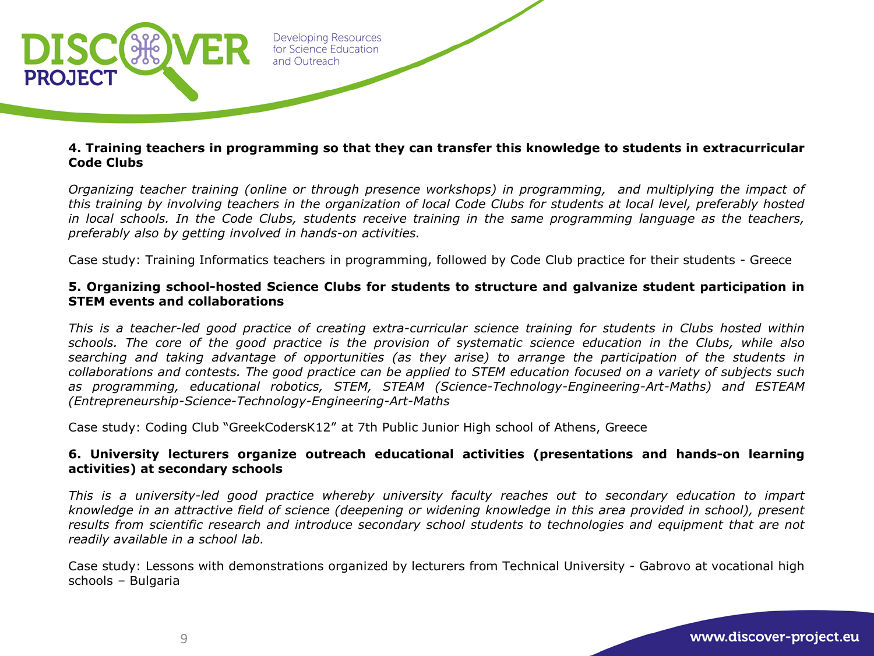

#### **4. Training teachers in programming so that they can transfer this knowledge to students in extracurricular Code Clubs**

*Organizing teacher training (online or through presence workshops) in programming, and multiplying the impact of* this training by involving teachers in the organization of local Code Clubs for students at local level, preferably hosted in local schools. In the Code Clubs, students receive training in the same programming language as the teachers, *preferably also by getting involved in hands-on activities.*

Case study: Training Informatics teachers in programming, followed by Code Club practice for their students - Greece

#### **5. Organizing school-hosted Science Clubs for students to structure and galvanize student participation in STEM events and collaborations**

This is a teacher-led good practice of creating extra-curricular science training for students in Clubs hosted within schools. The core of the good practice is the provision of systematic science education in the Clubs, while also searching and taking advantage of opportunities (as they arise) to arrange the participation of the students in collaborations and contests. The good practice can be applied to STEM education focused on a variety of subjects such *as programming, educational robotics, STEM, STEAM (Science-Technology-Engineering-Art-Maths) and ESTEAM (Entrepreneurship-Science-Technology-Engineering-Art-Maths*

Case study: Coding Club "GreekCodersK12" at 7th Public Junior High school of Athens, Greece

### **6. University lecturers organize outreach educational activities (presentations and hands-on learning activities) at secondary schools**

*This is a university-led good practice whereby university faculty reaches out to secondary education to impart* knowledge in an attractive field of science (deepening or widening knowledge in this area provided in school), present results from scientific research and introduce secondary school students to technologies and equipment that are not *readily available in a school lab.*

Case study: Lessons with demonstrations organized by lecturers from Technical University - Gabrovo at vocational high schools – Bulgaria